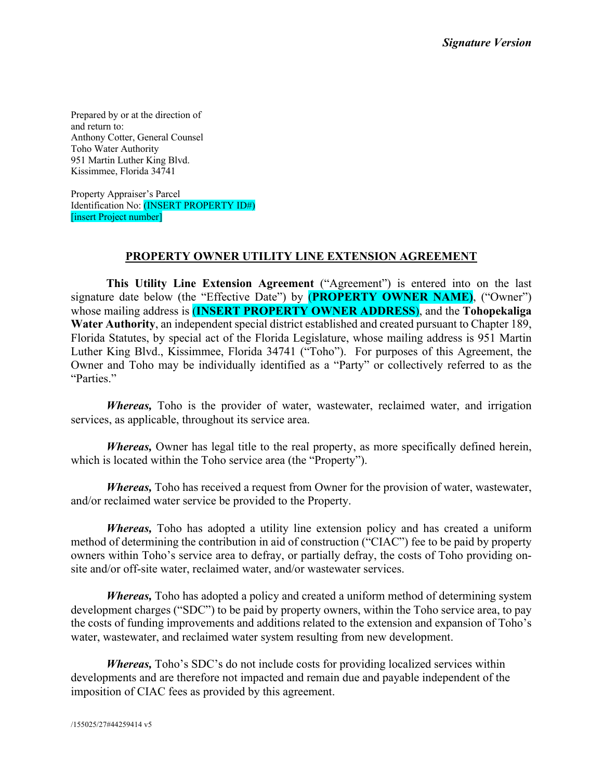Prepared by or at the direction of and return to: Anthony Cotter, General Counsel Toho Water Authority 951 Martin Luther King Blvd. Kissimmee, Florida 34741

Property Appraiser's Parcel Identification No: (INSERT PROPERTY ID#) [insert Project number]

#### **PROPERTY OWNER UTILITY LINE EXTENSION AGREEMENT**

**This Utility Line Extension Agreement** ("Agreement") is entered into on the last signature date below (the "Effective Date") by (**PROPERTY OWNER NAME)**, ("Owner") whose mailing address is (**INSERT PROPERTY OWNER ADDRESS**), and the **Tohopekaliga Water Authority**, an independent special district established and created pursuant to Chapter 189, Florida Statutes, by special act of the Florida Legislature, whose mailing address is 951 Martin Luther King Blvd., Kissimmee, Florida 34741 ("Toho"). For purposes of this Agreement, the Owner and Toho may be individually identified as a "Party" or collectively referred to as the "Parties."

*Whereas,* Toho is the provider of water, wastewater, reclaimed water, and irrigation services, as applicable, throughout its service area.

*Whereas,* Owner has legal title to the real property, as more specifically defined herein, which is located within the Toho service area (the "Property").

*Whereas,* Toho has received a request from Owner for the provision of water, wastewater, and/or reclaimed water service be provided to the Property.

*Whereas,* Toho has adopted a utility line extension policy and has created a uniform method of determining the contribution in aid of construction ("CIAC") fee to be paid by property owners within Toho's service area to defray, or partially defray, the costs of Toho providing onsite and/or off-site water, reclaimed water, and/or wastewater services.

*Whereas,* Toho has adopted a policy and created a uniform method of determining system development charges ("SDC") to be paid by property owners, within the Toho service area, to pay the costs of funding improvements and additions related to the extension and expansion of Toho's water, wastewater, and reclaimed water system resulting from new development.

*Whereas,* Toho's SDC's do not include costs for providing localized services within developments and are therefore not impacted and remain due and payable independent of the imposition of CIAC fees as provided by this agreement.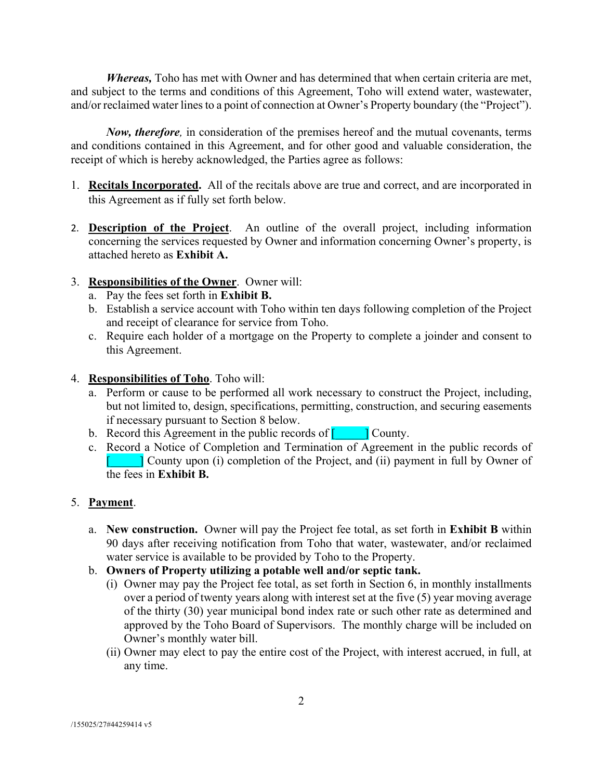*Whereas,* Toho has met with Owner and has determined that when certain criteria are met, and subject to the terms and conditions of this Agreement, Toho will extend water, wastewater, and/or reclaimed water lines to a point of connection at Owner's Property boundary (the "Project").

*Now, therefore,* in consideration of the premises hereof and the mutual covenants, terms and conditions contained in this Agreement, and for other good and valuable consideration, the receipt of which is hereby acknowledged, the Parties agree as follows:

- 1. **Recitals Incorporated.** All of the recitals above are true and correct, and are incorporated in this Agreement as if fully set forth below.
- 2. **Description of the Project**. An outline of the overall project, including information concerning the services requested by Owner and information concerning Owner's property, is attached hereto as **Exhibit A.**
- 3. **Responsibilities of the Owner**. Owner will:
	- a. Pay the fees set forth in **Exhibit B.**
	- b. Establish a service account with Toho within ten days following completion of the Project and receipt of clearance for service from Toho.
	- c. Require each holder of a mortgage on the Property to complete a joinder and consent to this Agreement.
- 4. **Responsibilities of Toho**. Toho will:
	- a. Perform or cause to be performed all work necessary to construct the Project, including, but not limited to, design, specifications, permitting, construction, and securing easements if necessary pursuant to Section 8 below.
	- b. Record this Agreement in the public records of  $\begin{bmatrix} 1 & 1 \end{bmatrix}$  County.
	- c. Record a Notice of Completion and Termination of Agreement in the public records of  $\begin{bmatrix} 1 & 1 \end{bmatrix}$  County upon (i) completion of the Project, and (ii) payment in full by Owner of the fees in **Exhibit B.**

## 5. **Payment**.

- a. **New construction.** Owner will pay the Project fee total, as set forth in **Exhibit B** within 90 days after receiving notification from Toho that water, wastewater, and/or reclaimed water service is available to be provided by Toho to the Property.
- b. **Owners of Property utilizing a potable well and/or septic tank.**
	- (i) Owner may pay the Project fee total, as set forth in Section 6, in monthly installments over a period of twenty years along with interest set at the five (5) year moving average of the thirty (30) year municipal bond index rate or such other rate as determined and approved by the Toho Board of Supervisors. The monthly charge will be included on Owner's monthly water bill.
	- (ii) Owner may elect to pay the entire cost of the Project, with interest accrued, in full, at any time.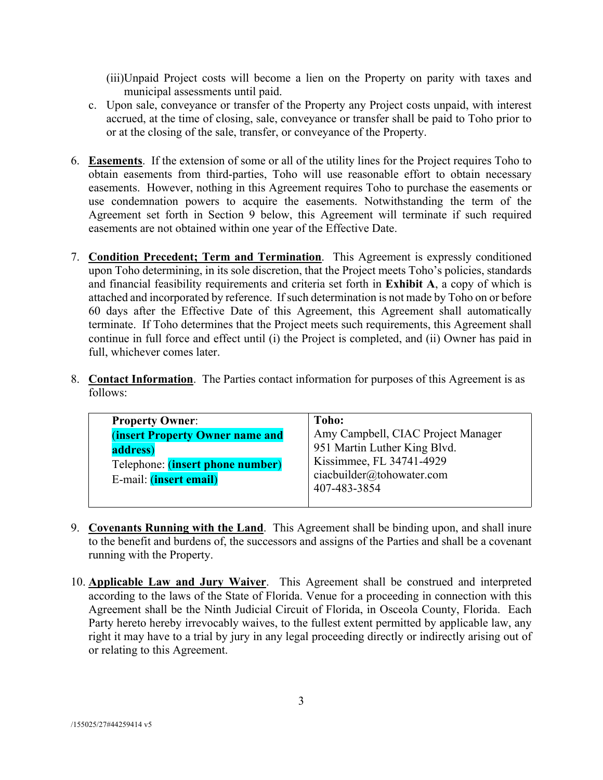(iii)Unpaid Project costs will become a lien on the Property on parity with taxes and municipal assessments until paid.

- c. Upon sale, conveyance or transfer of the Property any Project costs unpaid, with interest accrued, at the time of closing, sale, conveyance or transfer shall be paid to Toho prior to or at the closing of the sale, transfer, or conveyance of the Property.
- 6. **Easements**. If the extension of some or all of the utility lines for the Project requires Toho to obtain easements from third-parties, Toho will use reasonable effort to obtain necessary easements. However, nothing in this Agreement requires Toho to purchase the easements or use condemnation powers to acquire the easements. Notwithstanding the term of the Agreement set forth in Section 9 below, this Agreement will terminate if such required easements are not obtained within one year of the Effective Date.
- 7. **Condition Precedent; Term and Termination**. This Agreement is expressly conditioned upon Toho determining, in its sole discretion, that the Project meets Toho's policies, standards and financial feasibility requirements and criteria set forth in **Exhibit A**, a copy of which is attached and incorporated by reference. If such determination is not made by Toho on or before 60 days after the Effective Date of this Agreement, this Agreement shall automatically terminate. If Toho determines that the Project meets such requirements, this Agreement shall continue in full force and effect until (i) the Project is completed, and (ii) Owner has paid in full, whichever comes later.
- 8. **Contact Information**. The Parties contact information for purposes of this Agreement is as follows:

| <b>Property Owner:</b>                 | Toho:                              |
|----------------------------------------|------------------------------------|
| <b>(insert Property Owner name and</b> | Amy Campbell, CIAC Project Manager |
| address)                               | 951 Martin Luther King Blvd.       |
| Telephone: (insert phone number)       | Kissimmee, FL 34741-4929           |
| E-mail: ( <i>insert email</i> )        | ciacbuilder@tohowater.com          |
|                                        | 407-483-3854                       |
|                                        |                                    |

- 9. **Covenants Running with the Land**. This Agreement shall be binding upon, and shall inure to the benefit and burdens of, the successors and assigns of the Parties and shall be a covenant running with the Property.
- 10. **Applicable Law and Jury Waiver**. This Agreement shall be construed and interpreted according to the laws of the State of Florida. Venue for a proceeding in connection with this Agreement shall be the Ninth Judicial Circuit of Florida, in Osceola County, Florida. Each Party hereto hereby irrevocably waives, to the fullest extent permitted by applicable law, any right it may have to a trial by jury in any legal proceeding directly or indirectly arising out of or relating to this Agreement.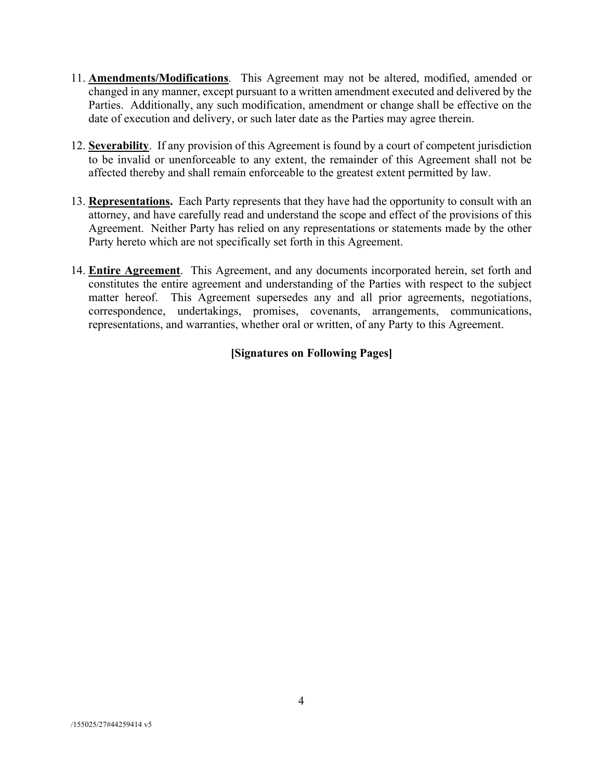- 11. **Amendments/Modifications**. This Agreement may not be altered, modified, amended or changed in any manner, except pursuant to a written amendment executed and delivered by the Parties. Additionally, any such modification, amendment or change shall be effective on the date of execution and delivery, or such later date as the Parties may agree therein.
- 12. **Severability**. If any provision of this Agreement is found by a court of competent jurisdiction to be invalid or unenforceable to any extent, the remainder of this Agreement shall not be affected thereby and shall remain enforceable to the greatest extent permitted by law.
- 13. **Representations.** Each Party represents that they have had the opportunity to consult with an attorney, and have carefully read and understand the scope and effect of the provisions of this Agreement. Neither Party has relied on any representations or statements made by the other Party hereto which are not specifically set forth in this Agreement.
- 14. **Entire Agreement**. This Agreement, and any documents incorporated herein, set forth and constitutes the entire agreement and understanding of the Parties with respect to the subject matter hereof. This Agreement supersedes any and all prior agreements, negotiations, correspondence, undertakings, promises, covenants, arrangements, communications, representations, and warranties, whether oral or written, of any Party to this Agreement.

# **[Signatures on Following Pages]**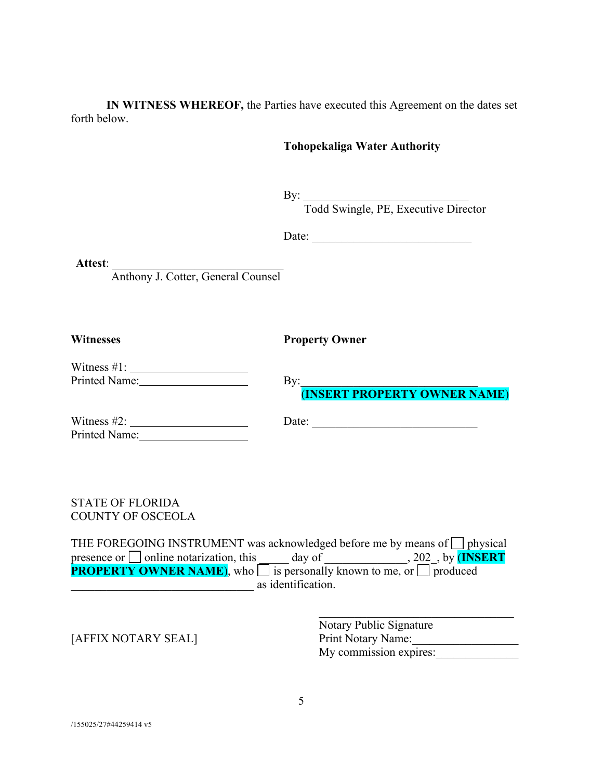**IN WITNESS WHEREOF,** the Parties have executed this Agreement on the dates set forth below.

#### **Tohopekaliga Water Authority**

 $\mathbf{By:}$ 

Todd Swingle, PE, Executive Director

Date: \_\_\_\_\_\_\_\_\_\_\_\_\_\_\_\_\_\_\_\_\_\_\_\_\_\_\_

**Attest**: \_\_\_\_\_\_\_\_\_\_\_\_\_\_\_\_\_\_\_\_\_\_\_\_\_\_\_\_\_

Anthony J. Cotter, General Counsel

**Witnesses Property Owner**

| Witness $#1$ :       |  |
|----------------------|--|
| <b>Printed Name:</b> |  |

 $\rm\,By:$ (**INSERT PROPERTY OWNER NAME**)

Printed Name:

Witness  $\#2$ :  $\qquad \qquad$  Date:

STATE OF FLORIDA COUNTY OF OSCEOLA

THE FOREGOING INSTRUMENT was acknowledged before me by means of  $\Box$  physical presence or  $\Box$  online notarization, this  $\Box$  day of  $\Box$ , 202, by (INSERT **PROPERTY OWNER NAME**), who  $\Box$  is personally known to me, or  $\Box$  produced example as identification.

Notary Public Signature [AFFIX NOTARY SEAL] Print Notary Name: My commission expires: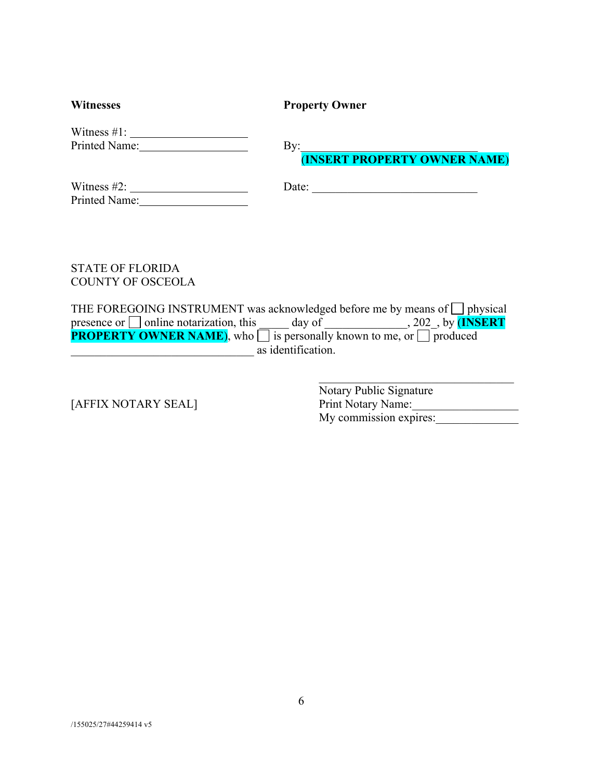| <b>Witnesses</b>   | <b>Property Owner</b>                                 |
|--------------------|-------------------------------------------------------|
| Printed Name: 1988 | $\mathbf{By:}$<br><b>(INSERT PROPERTY OWNER NAME)</b> |
|                    | Date:                                                 |

STATE OF FLORIDA COUNTY OF OSCEOLA

THE FOREGOING INSTRUMENT was acknowledged before me by means of  $\Box$  physical presence or  $\Box$  online notarization, this day of \_\_\_\_\_\_\_\_\_\_\_\_, 202<sub>\_</sub>, by (INSERT **PROPERTY OWNER NAME**), who is personally known to me, or  $\Box$  produced \_\_\_\_\_\_\_\_\_\_\_\_\_\_\_\_\_\_\_\_\_\_\_\_\_\_\_\_\_\_\_ as identification.

Notary Public Signature [AFFIX NOTARY SEAL] Print Notary Name:\_\_\_\_\_\_\_\_\_\_\_\_\_\_\_\_\_\_ My commission expires: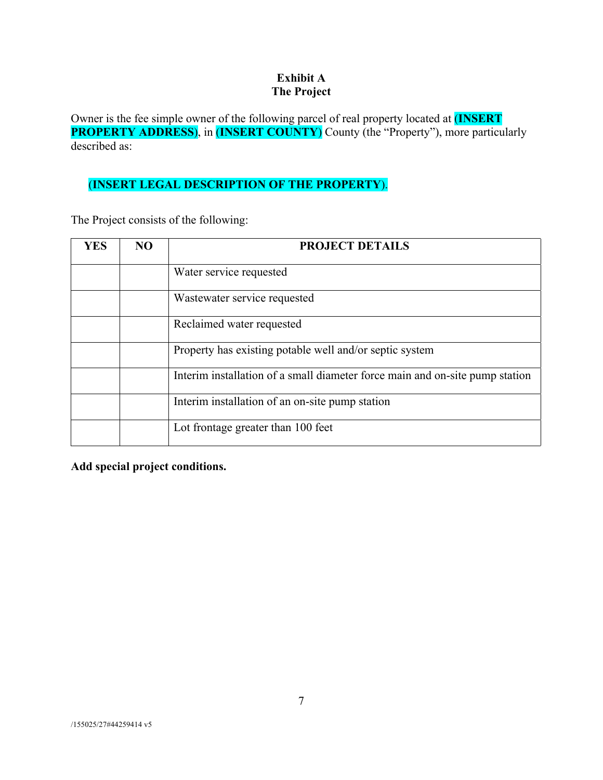## **Exhibit A The Project**

Owner is the fee simple owner of the following parcel of real property located at (**INSERT PROPERTY ADDRESS**), in (**INSERT COUNTY**) County (the "Property"), more particularly described as:

# (**INSERT LEGAL DESCRIPTION OF THE PROPERTY**).

The Project consists of the following:

| <b>YES</b> | NO. | <b>PROJECT DETAILS</b>                                                       |
|------------|-----|------------------------------------------------------------------------------|
|            |     | Water service requested                                                      |
|            |     | Wastewater service requested                                                 |
|            |     | Reclaimed water requested                                                    |
|            |     | Property has existing potable well and/or septic system                      |
|            |     | Interim installation of a small diameter force main and on-site pump station |
|            |     | Interim installation of an on-site pump station                              |
|            |     | Lot frontage greater than 100 feet                                           |

**Add special project conditions.**